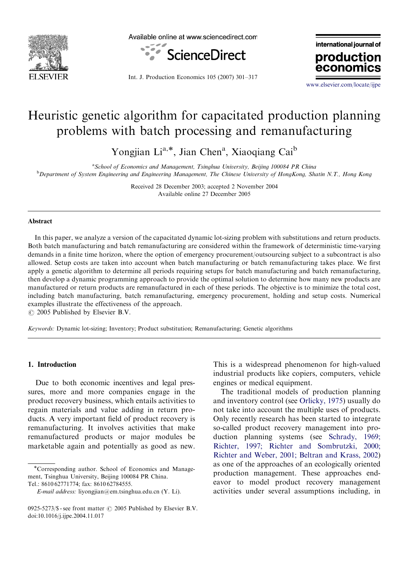

Available online at www.sciencedirect.com



international journal of production

Int. J. Production Economics 105 (2007) 301–317

<www.elsevier.com/locate/ijpe>

econor

## Heuristic genetic algorithm for capacitated production planning problems with batch processing and remanufacturing

Yongjian Li<sup>a,\*</sup>, Jian Chen<sup>a</sup>, Xiaoqiang Cai<sup>b</sup>

<sup>a</sup> School of Economics and Management, Tsinghua University, Beijing 100084 PR China **b** Department of System Engineering and Engineering Management, The Chinese University of HongKong, Shatin N.T., Hong Kong

> Received 28 December 2003; accepted 2 November 2004 Available online 27 December 2005

## Abstract

In this paper, we analyze a version of the capacitated dynamic lot-sizing problem with substitutions and return products. Both batch manufacturing and batch remanufacturing are considered within the framework of deterministic time-varying demands in a finite time horizon, where the option of emergency procurement/outsourcing subject to a subcontract is also allowed. Setup costs are taken into account when batch manufacturing or batch remanufacturing takes place. We first apply a genetic algorithm to determine all periods requiring setups for batch manufacturing and batch remanufacturing, then develop a dynamic programming approach to provide the optimal solution to determine how many new products are manufactured or return products are remanufactured in each of these periods. The objective is to minimize the total cost, including batch manufacturing, batch remanufacturing, emergency procurement, holding and setup costs. Numerical examples illustrate the effectiveness of the approach.

 $\odot$  2005 Published by Elsevier B.V.

Keywords: Dynamic lot-sizing; Inventory; Product substitution; Remanufacturing; Genetic algorithms

## 1. Introduction

Due to both economic incentives and legal pressures, more and more companies engage in the product recovery business, which entails activities to regain materials and value adding in return products. A very important field of product recovery is remanufacturing. It involves activities that make remanufactured products or major modules be marketable again and potentially as good as new.

This is a widespread phenomenon for high-valued industrial products like copiers, computers, vehicle engines or medical equipment.

The traditional models of production planning and inventory control (see [Orlicky, 1975](#page--1-0)) usually do not take into account the multiple uses of products. Only recently research has been started to integrate so-called product recovery management into production planning systems (see [Schrady, 1969;](#page--1-0) [Richter, 1997; Richter and Sombrutzki, 2000;](#page--1-0) [Richter and Weber, 2001; Beltran and Krass, 2002\)](#page--1-0) as one of the approaches of an ecologically oriented production management. These approaches endeavor to model product recovery management activities under several assumptions including, in

<sup>\*</sup>Corresponding author. School of Economics and Management, Tsinghua University, Beijing 100084 PR China. Tel.: 8610 62771774; fax: 8610 62784555.

E-mail address: liyongjian@em.tsinghua.edu.cn (Y. Li).

<sup>0925-5273/\$ -</sup> see front matter  $\odot$  2005 Published by Elsevier B.V. doi:10.1016/j.ijpe.2004.11.017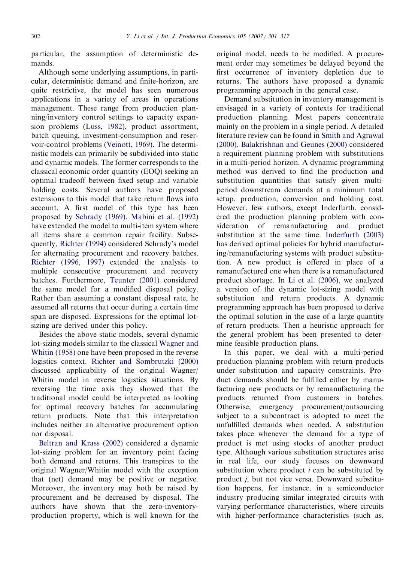particular, the assumption of deterministic demands.

Although some underlying assumptions, in particular, deterministic demand and finite-horizon, are quite restrictive, the model has seen numerous applications in a variety of areas in operations management. These range from production planning/inventory control settings to capacity expansion problems [\(Luss, 1982\)](#page--1-0), product assortment, batch queuing, investment-consumption and reservoir-control problems ([Veinott, 1969](#page--1-0)). The deterministic models can primarily be subdivided into static and dynamic models. The former corresponds to the classical economic order quantity (EOQ) seeking an optimal tradeoff between fixed setup and variable holding costs. Several authors have proposed extensions to this model that take return flows into account. A first model of this type has been proposed by [Schrady \(1969\).](#page--1-0) [Mabini et al. \(1992\)](#page--1-0) have extended the model to multi-item system where all items share a common repair facility. Subsequently, [Richter \(1994\)](#page--1-0) considered Schrady's model for alternating procurement and recovery batches. [Richter \(1996, 1997\)](#page--1-0) extended the analysis to multiple consecutive procurement and recovery batches. Furthermore, [Teunter \(2001\)](#page--1-0) considered the same model for a modified disposal policy. Rather than assuming a constant disposal rate, he assumed all returns that occur during a certain time span are disposed. Expressions for the optimal lotsizing are derived under this policy.

Besides the above static models, several dynamic lot-sizing models similar to the classical [Wagner and](#page--1-0) [Whitin \(1958\)](#page--1-0) one have been proposed in the reverse logistics context. [Richter and Sombrutzki \(2000\)](#page--1-0) discussed applicability of the original Wagner/ Whitin model in reverse logistics situations. By reversing the time axis they showed that the traditional model could be interpreted as looking for optimal recovery batches for accumulating return products. Note that this interpretation includes neither an alternative procurement option nor disposal.

[Beltran and Krass \(2002\)](#page--1-0) considered a dynamic lot-sizing problem for an inventory point facing both demand and returns. This transpires to the original Wagner/Whitin model with the exception that (net) demand may be positive or negative. Moreover, the inventory may both be raised by procurement and be decreased by disposal. The authors have shown that the zero-inventoryproduction property, which is well known for the

original model, needs to be modified. A procurement order may sometimes be delayed beyond the first occurrence of inventory depletion due to returns. The authors have proposed a dynamic programming approach in the general case.

Demand substitution in inventory management is envisaged in a variety of contexts for traditional production planning. Most papers concentrate mainly on the problem in a single period. A detailed literature review can be found in [Smith and Agrawal](#page--1-0) [\(2000\).](#page--1-0) [Balakrishnan and Geunes \(2000\)](#page--1-0) considered a requirement planning problem with substitutions in a multi-period horizon. A dynamic programming method was derived to find the production and substitution quantities that satisfy given multiperiod downstream demands at a minimum total setup, production, conversion and holding cost. However, few authors, except Inderfurth, considered the production planning problem with consideration of remanufacturing and product substitution at the same time. [Inderfurth \(2003\)](#page--1-0) has derived optimal policies for hybrid manufacturing/remanufacturing systems with product substitution. A new product is offered in place of a remanufactured one when there is a remanufactured product shortage. In [Li et al. \(2006\)](#page--1-0), we analyzed a version of the dynamic lot-sizing model with substitution and return products. A dynamic programming approach has been proposed to derive the optimal solution in the case of a large quantity of return products. Then a heuristic approach for the general problem has been presented to determine feasible production plans.

In this paper, we deal with a multi-period production planning problem with return products under substitution and capacity constraints. Product demands should be fulfilled either by manufacturing new products or by remanufacturing the products returned from customers in batches. Otherwise, emergency procurement/outsourcing subject to a subcontract is adopted to meet the unfulfilled demands when needed. A substitution takes place whenever the demand for a type of product is met using stocks of another product type. Although various substitution structures arise in real life, our study focuses on downward substitution where product  $i$  can be substituted by product j, but not vice versa. Downward substitution happens, for instance, in a semiconductor industry producing similar integrated circuits with varying performance characteristics, where circuits with higher-performance characteristics (such as,